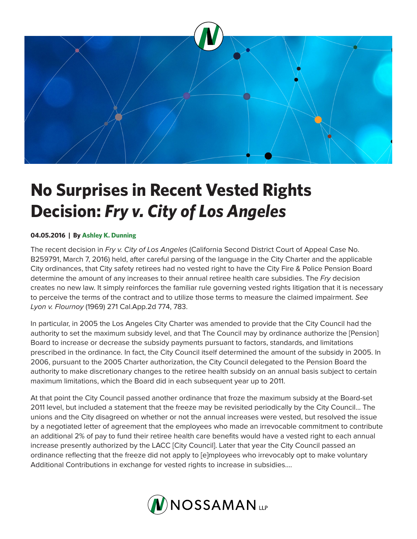

## **No Surprises in Recent Vested Rights Decision:** *Fry v. City of Los Angeles*

## **04.05.2016 | By Ashley K. Dunning**

The recent decision in *Fry v. City of Los Angeles* (California Second District Court of Appeal Case No. B259791, March 7, 2016) held, after careful parsing of the language in the City Charter and the applicable City ordinances, that City safety retirees had no vested right to have the City Fire & Police Pension Board determine the amount of any increases to their annual retiree health care subsidies. The *Fry* decision creates no new law. It simply reinforces the familiar rule governing vested rights litigation that it is necessary to perceive the terms of the contract and to utilize those terms to measure the claimed impairment. *See Lyon v. Flournoy* (1969) 271 Cal.App.2d 774, 783.

In particular, in 2005 the Los Angeles City Charter was amended to provide that the City Council had the authority to set the maximum subsidy level, and that The Council may by ordinance authorize the [Pension] Board to increase or decrease the subsidy payments pursuant to factors, standards, and limitations prescribed in the ordinance. In fact, the City Council itself determined the amount of the subsidy in 2005. In 2006, pursuant to the 2005 Charter authorization, the City Council delegated to the Pension Board the authority to make discretionary changes to the retiree health subsidy on an annual basis subject to certain maximum limitations, which the Board did in each subsequent year up to 2011.

At that point the City Council passed another ordinance that froze the maximum subsidy at the Board-set 2011 level, but included a statement that the freeze may be revisited periodically by the City Council… The unions and the City disagreed on whether or not the annual increases were vested, but resolved the issue by a negotiated letter of agreement that the employees who made an irrevocable commitment to contribute an additional 2% of pay to fund their retiree health care benefits would have a vested right to each annual increase presently authorized by the LACC [City Council]. Later that year the City Council passed an ordinance reflecting that the freeze did not apply to [e]mployees who irrevocably opt to make voluntary Additional Contributions in exchange for vested rights to increase in subsidies….